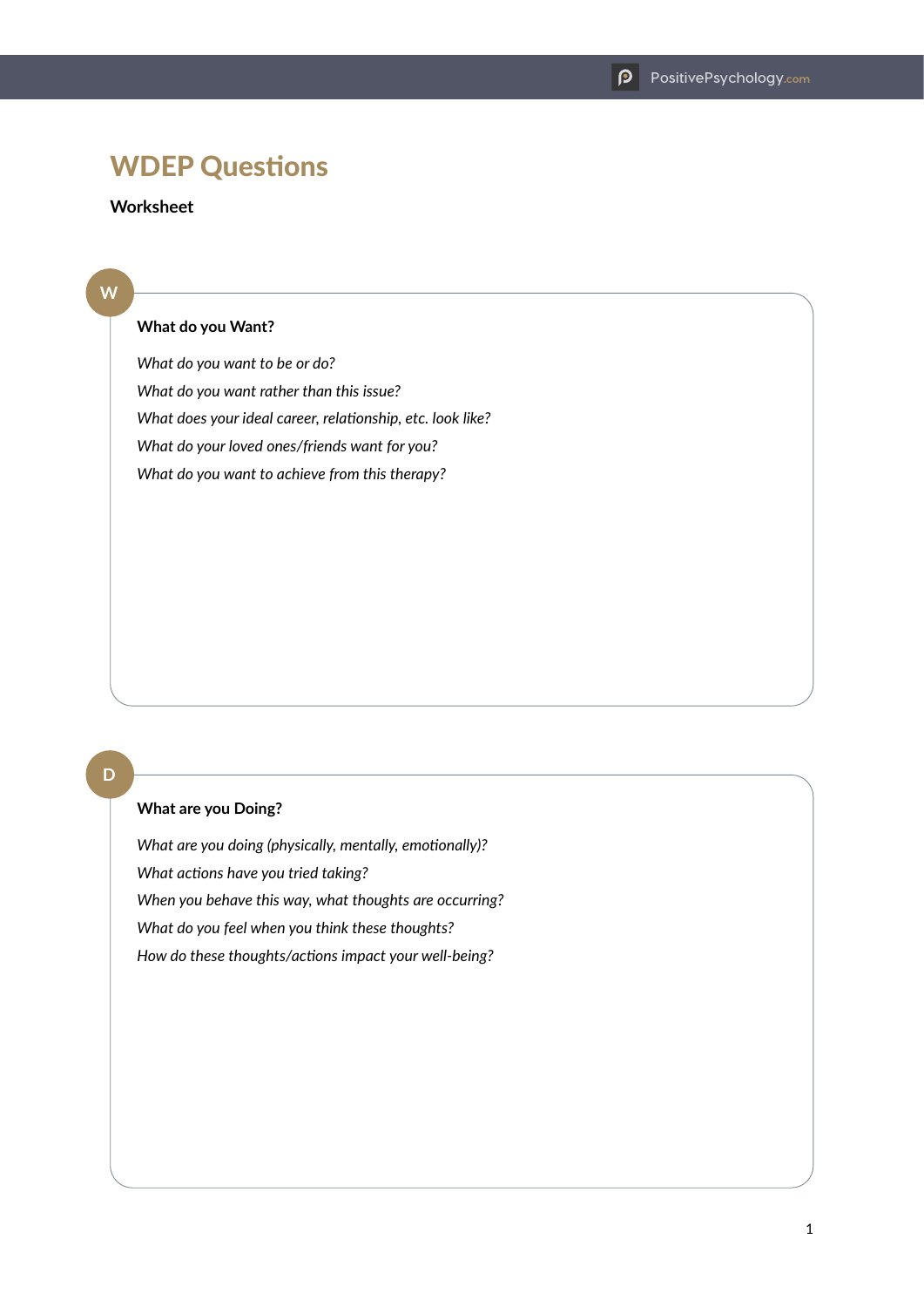# WDEP Questions

## **Worksheet**

#### **W**

#### **What do you Want?**

*What do you want to be or do? What do you want rather than this issue? What does your ideal career, relationship, etc. look like? What do your loved ones/friends want for you? What do you want to achieve from this therapy?*

### **D**

#### **What are you Doing?**

*What are you doing (physically, mentally, emotionally)? What actions have you tried taking? When you behave this way, what thoughts are occurring? What do you feel when you think these thoughts? How do these thoughts/actions impact your well-being?*